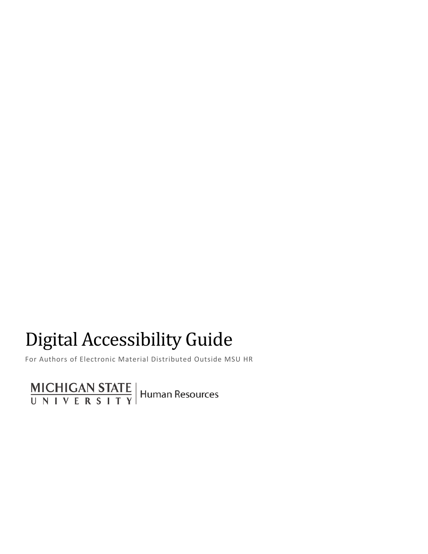# Digital Accessibility Guide

For Authors of Electronic Material Distributed Outside MSU HR

**MICHIGAN STATE** | Human Resources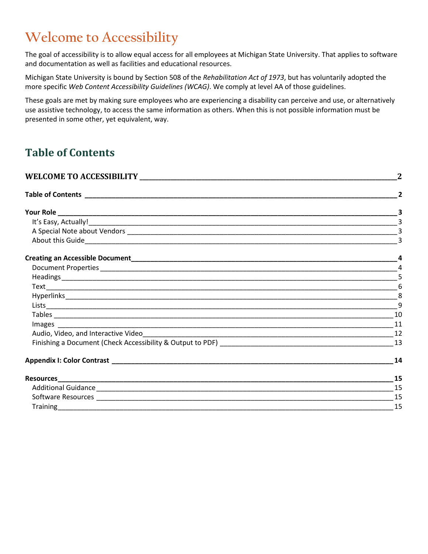# <span id="page-1-0"></span>**Welcome to Accessibility**

The goal of accessibility is to allow equal access for all employees at Michigan State University. That applies to software and documentation as well as facilities and educational resources.

Michigan State University is bound by Section 508 of the *Rehabilitation Act of 1973*, but has voluntarily adopted the more specific *Web Content Accessibility Guidelines (WCAG)*. We comply at level AA of those guidelines.

These goals are met by making sure employees who are experiencing a disability can perceive and use, or alternatively use assistive technology, to access the same information as others. When this is not possible information must be presented in some other, yet equivalent, way.

# <span id="page-1-1"></span>**Table of Contents**

| WELCOME TO ACCESSIBILITY NAMES AND THE RESERVE OF STREET AND THE RESERVE OF STREET AND THE RESERVE OF STREET AND THE RESERVE OF STREET AND THE RESERVE OF STREET AND THE RESERVE OF STREET AND THE RESERVE OF STREET AND THE R | $\mathbf{2}$   |
|--------------------------------------------------------------------------------------------------------------------------------------------------------------------------------------------------------------------------------|----------------|
|                                                                                                                                                                                                                                | $\sim$ 2       |
|                                                                                                                                                                                                                                |                |
|                                                                                                                                                                                                                                |                |
|                                                                                                                                                                                                                                |                |
|                                                                                                                                                                                                                                |                |
|                                                                                                                                                                                                                                |                |
|                                                                                                                                                                                                                                | $\overline{4}$ |
|                                                                                                                                                                                                                                |                |
|                                                                                                                                                                                                                                |                |
|                                                                                                                                                                                                                                |                |
|                                                                                                                                                                                                                                | $\mathsf{q}$   |
|                                                                                                                                                                                                                                |                |
|                                                                                                                                                                                                                                |                |
|                                                                                                                                                                                                                                |                |
|                                                                                                                                                                                                                                |                |
|                                                                                                                                                                                                                                | 14             |
|                                                                                                                                                                                                                                |                |
|                                                                                                                                                                                                                                |                |
|                                                                                                                                                                                                                                | 15             |
|                                                                                                                                                                                                                                |                |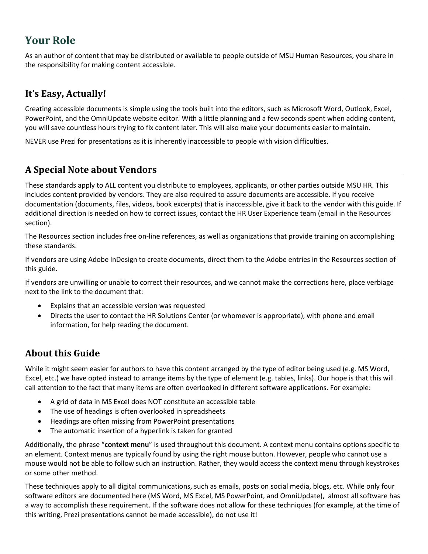# <span id="page-2-0"></span>**Your Role**

As an author of content that may be distributed or available to people outside of MSU Human Resources, you share in the responsibility for making content accessible.

## <span id="page-2-1"></span>**It's Easy, Actually!**

Creating accessible documents is simple using the tools built into the editors, such as Microsoft Word, Outlook, Excel, PowerPoint, and the OmniUpdate website editor. With a little planning and a few seconds spent when adding content, you will save countless hours trying to fix content later. This will also make your documents easier to maintain.

NEVER use Prezi for presentations as it is inherently inaccessible to people with vision difficulties.

## <span id="page-2-2"></span>**A Special Note about Vendors**

These standards apply to ALL content you distribute to employees, applicants, or other parties outside MSU HR. This includes content provided by vendors. They are also required to assure documents are accessible. If you receive documentation (documents, files, videos, book excerpts) that is inaccessible, give it back to the vendor with this guide. If additional direction is needed on how to correct issues, contact the HR User Experience team (email in the Resources section).

The Resources section includes free on-line references, as well as organizations that provide training on accomplishing these standards.

If vendors are using Adobe InDesign to create documents, direct them to the Adobe entries in the Resources section of this guide.

If vendors are unwilling or unable to correct their resources, and we cannot make the corrections here, place verbiage next to the link to the document that:

- Explains that an accessible version was requested
- Directs the user to contact the HR Solutions Center (or whomever is appropriate), with phone and email information, for help reading the document.

## <span id="page-2-3"></span>**About this Guide**

While it might seem easier for authors to have this content arranged by the type of editor being used (e.g. MS Word, Excel, etc.) we have opted instead to arrange items by the type of element (e.g. tables, links). Our hope is that this will call attention to the fact that many items are often overlooked in different software applications. For example:

- A grid of data in MS Excel does NOT constitute an accessible table
- The use of headings is often overlooked in spreadsheets
- Headings are often missing from PowerPoint presentations
- The automatic insertion of a hyperlink is taken for granted

Additionally, the phrase "**context menu**" is used throughout this document. A context menu contains options specific to an element. Context menus are typically found by using the right mouse button. However, people who cannot use a mouse would not be able to follow such an instruction. Rather, they would access the context menu through keystrokes or some other method.

These techniques apply to all digital communications, such as emails, posts on social media, blogs, etc. While only four software editors are documented here (MS Word, MS Excel, MS PowerPoint, and OmniUpdate), almost all software has a way to accomplish these requirement. If the software does not allow for these techniques (for example, at the time of this writing, Prezi presentations cannot be made accessible), do not use it!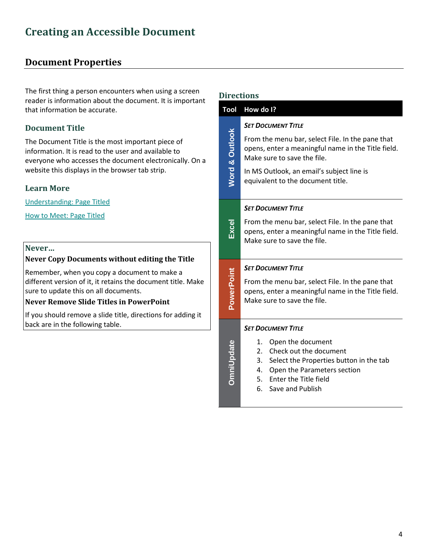## <span id="page-3-1"></span><span id="page-3-0"></span>**Document Properties**

The first thing a person encounters when using a screen reader is information about the document. It is important that information be accurate.

## **Document Title**

The Document Title is the most important piece of information. It is read to the user and available to everyone who accesses the document electronically. On a website this displays in the browser tab strip.

## **Learn More**

[Understanding: Page Titled](http://www.w3.org/WAI/WCAG21/Understanding/page-titled.html)

[How to Meet: Page Titled](http://www.w3.org/WAI/WCAG21/quickref/?showtechniques=132#page-titled)

#### **Never…**

#### **Never Copy Documents without editing the Title**

Remember, when you copy a document to make a different version of it, it retains the document title. Make sure to update this on all documents.

## **Never Remove Slide Titles in PowerPoint**

If you should remove a slide title, directions for adding it back are in the following table.

## **Directions**

## **Tool How do I?** *SET DOCUMENT TITLE* **Nord & Outlook Word & Outlook** From the menu bar, select File. In the pane that opens, enter a meaningful name in the Title field. Make sure to save the file. In MS Outlook, an email's subject line is equivalent to the document title. *SET DOCUMENT TITLE* **Excel** From the menu bar, select File. In the pane that opens, enter a meaningful name in the Title field. Make sure to save the file.

#### *SET DOCUMENT TITLE*

From the menu bar, select File. In the pane that opens, enter a meaningful name in the Title field. Make sure to save the file.

#### *SET DOCUMENT TITLE*

- 1. Open the document
- 2. Check out the document
- 3. Select the Properties button in the tab
- 4. Open the Parameters section
- 5. Enter the Title field
- 6. Save and Publish

# **PowerPoint PowerPoint**

**OmniUpdate**

**OmniUpdate**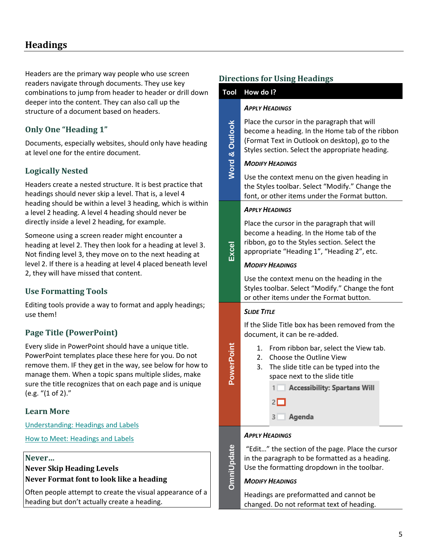<span id="page-4-0"></span>Headers are the primary way people who use screen readers navigate through documents. They use key combinations to jump from header to header or drill down deeper into the content. They can also call up the structure of a document based on headers.

## **Only One "Heading 1"**

Documents, especially websites, should only have heading at level one for the entire document.

## **Logically Nested**

Headers create a nested structure. It is best practice that headings should never skip a level. That is, a level 4 heading should be within a level 3 heading, which is within a level 2 heading. A level 4 heading should never be directly inside a level 2 heading, for example.

Someone using a screen reader might encounter a heading at level 2. They then look for a heading at level 3. Not finding level 3, they move on to the next heading at level 2. If there is a heading at level 4 placed beneath level 2, they will have missed that content.

## **Use Formatting Tools**

Editing tools provide a way to format and apply headings; use them!

## **Page Title (PowerPoint)**

Every slide in PowerPoint should have a unique title. PowerPoint templates place these here for you. Do not remove them. IF they get in the way, see below for how to manage them. When a topic spans multiple slides, make sure the title recognizes that on each page and is unique (e.g. "(1 of 2)."

## **Learn More**

[Understanding: Headings and Labels](http://www.w3.org/WAI/WCAG21/Understanding/headings-and-labels.html)

[How to Meet: Headings and Labels](https://www.w3.org/WAI/WCAG21/quickref/#headings-and-labels)

## **Never…**

**Never Skip Heading Levels Never Format font to look like a heading**

Often people attempt to create the visual appearance of a heading but don't actually create a heading.

## **Directions for Using Headings**

#### **Tool How do I?**

**Word & Outlook**

**Nord & Outlook** 

**Excel**

#### *APPLY HEADINGS*

Place the cursor in the paragraph that will become a heading. In the Home tab of the ribbon (Format Text in Outlook on desktop), go to the Styles section. Select the appropriate heading.

#### *MODIFY HEADINGS*

Use the context menu on the given heading in the Styles toolbar. Select "Modify." Change the font, or other items under the Format button.

#### *APPLY HEADINGS*

Place the cursor in the paragraph that will become a heading. In the Home tab of the ribbon, go to the Styles section. Select the

## appropriate "Heading 1", "Heading 2", etc.

#### *MODIFY HEADINGS*

Use the context menu on the heading in the Styles toolbar. Select "Modify." Change the font or other items under the Format button.

## *SLIDE TITLE*

If the Slide Title box has been removed from the document, it can be re-added.

- 1. From ribbon bar, select the View tab.
- 2. Choose the Outline View
	- 3. The slide title can be typed into the space next to the slide title

**Accessibility: Spartans Will** 

## 3 Agenda

#### *APPLY HEADINGS*

 $2\Box$ 

"Edit…" the section of the page. Place the cursor in the paragraph to be formatted as a heading. Use the formatting dropdown in the toolbar.

## *MODIFY HEADINGS*

Headings are preformatted and cannot be changed. Do not reformat text of heading.



PowerPoint **PowerPoint**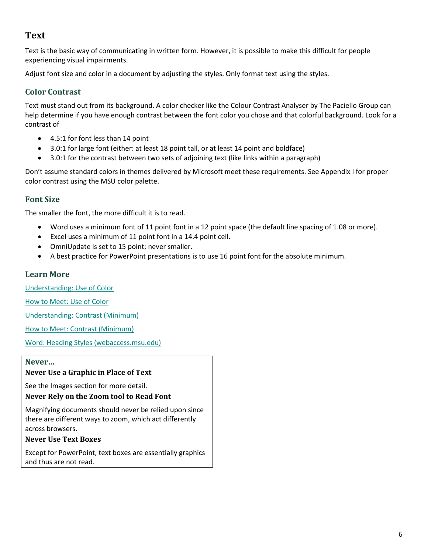## <span id="page-5-0"></span>**Text**

Text is the basic way of communicating in written form. However, it is possible to make this difficult for people experiencing visual impairments.

Adjust font size and color in a document by adjusting the styles. Only format text using the styles.

## **Color Contrast**

Text must stand out from its background. A color checker like the Colour Contrast Analyser by The Paciello Group can help determine if you have enough contrast between the font color you chose and that colorful background. Look for a contrast of

- 4.5:1 for font less than 14 point
- 3.0:1 for large font (either: at least 18 point tall, or at least 14 point and boldface)
- 3.0:1 for the contrast between two sets of adjoining text (like links within a paragraph)

Don't assume standard colors in themes delivered by Microsoft meet these requirements. See Appendix I for proper color contrast using the MSU color palette.

## **Font Size**

The smaller the font, the more difficult it is to read.

- Word uses a minimum font of 11 point font in a 12 point space (the default line spacing of 1.08 or more).
- Excel uses a minimum of 11 point font in a 14.4 point cell.
- OmniUpdate is set to 15 point; never smaller.
- A best practice for PowerPoint presentations is to use 16 point font for the absolute minimum.

## **Learn More**

[Understanding: Use of Color](http://www.w3.org/WAI/WCAG21/Understanding/use-of-color.html)

[How to Meet: Use of Color](http://www.w3.org/WAI/WCAG21/quickref/#use-of-color)

[Understanding: Contrast \(Minimum\)](http://www.w3.org/WAI/WCAG21/Understanding/contrast-minimum.html)

[How to Meet: Contrast \(Minimum\)](http://www.w3.org/WAI/WCAG21/quickref/#contrast-minimum)

[Word: Heading Styles](https://webaccess.msu.edu/Tutorials/word.html#heading%20styles) (webaccess.msu.edu)

#### **Never…**

**Never Use a Graphic in Place of Text**

See the Images section for more detail.

## **Never Rely on the Zoom tool to Read Font**

Magnifying documents should never be relied upon since there are different ways to zoom, which act differently across browsers.

## **Never Use Text Boxes**

Except for PowerPoint, text boxes are essentially graphics and thus are not read.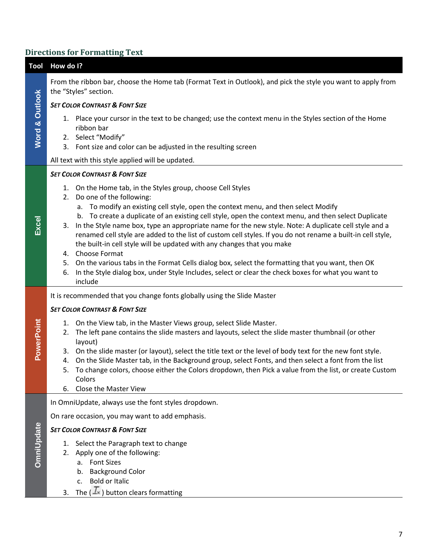# **Directions for Formatting Text**

| <b>Tool</b>       | How do I?                                                                                                                                                                                                                                                                                                                                                                                                                                                                                                                                                                       |  |  |  |  |  |  |  |  |  |  |
|-------------------|---------------------------------------------------------------------------------------------------------------------------------------------------------------------------------------------------------------------------------------------------------------------------------------------------------------------------------------------------------------------------------------------------------------------------------------------------------------------------------------------------------------------------------------------------------------------------------|--|--|--|--|--|--|--|--|--|--|
| Word & Outlook    | From the ribbon bar, choose the Home tab (Format Text in Outlook), and pick the style you want to apply from<br>the "Styles" section.                                                                                                                                                                                                                                                                                                                                                                                                                                           |  |  |  |  |  |  |  |  |  |  |
|                   | <b>SET COLOR CONTRAST &amp; FONT SIZE</b>                                                                                                                                                                                                                                                                                                                                                                                                                                                                                                                                       |  |  |  |  |  |  |  |  |  |  |
|                   | 1. Place your cursor in the text to be changed; use the context menu in the Styles section of the Home<br>ribbon bar<br>2. Select "Modify"<br>3. Font size and color can be adjusted in the resulting screen                                                                                                                                                                                                                                                                                                                                                                    |  |  |  |  |  |  |  |  |  |  |
|                   | All text with this style applied will be updated.                                                                                                                                                                                                                                                                                                                                                                                                                                                                                                                               |  |  |  |  |  |  |  |  |  |  |
|                   | <b>SET COLOR CONTRAST &amp; FONT SIZE</b>                                                                                                                                                                                                                                                                                                                                                                                                                                                                                                                                       |  |  |  |  |  |  |  |  |  |  |
| Excel             | 1. On the Home tab, in the Styles group, choose Cell Styles<br>Do one of the following:<br>2.<br>a. To modify an existing cell style, open the context menu, and then select Modify<br>b. To create a duplicate of an existing cell style, open the context menu, and then select Duplicate<br>In the Style name box, type an appropriate name for the new style. Note: A duplicate cell style and a<br>3.<br>renamed cell style are added to the list of custom cell styles. If you do not rename a built-in cell style,                                                       |  |  |  |  |  |  |  |  |  |  |
|                   | the built-in cell style will be updated with any changes that you make<br>4. Choose Format<br>5. On the various tabs in the Format Cells dialog box, select the formatting that you want, then OK<br>In the Style dialog box, under Style Includes, select or clear the check boxes for what you want to<br>6.<br>include                                                                                                                                                                                                                                                       |  |  |  |  |  |  |  |  |  |  |
|                   | It is recommended that you change fonts globally using the Slide Master                                                                                                                                                                                                                                                                                                                                                                                                                                                                                                         |  |  |  |  |  |  |  |  |  |  |
|                   | <b>SET COLOR CONTRAST &amp; FONT SIZE</b>                                                                                                                                                                                                                                                                                                                                                                                                                                                                                                                                       |  |  |  |  |  |  |  |  |  |  |
| PowerPoint        | 1. On the View tab, in the Master Views group, select Slide Master.<br>The left pane contains the slide masters and layouts, select the slide master thumbnail (or other<br>2.<br>layout)<br>3. On the slide master (or layout), select the title text or the level of body text for the new font style.<br>On the Slide Master tab, in the Background group, select Fonts, and then select a font from the list<br>4.<br>5.<br>To change colors, choose either the Colors dropdown, then Pick a value from the list, or create Custom<br>Colors<br>Close the Master View<br>6. |  |  |  |  |  |  |  |  |  |  |
|                   | In OmniUpdate, always use the font styles dropdown.                                                                                                                                                                                                                                                                                                                                                                                                                                                                                                                             |  |  |  |  |  |  |  |  |  |  |
| <b>OmniUpdate</b> | On rare occasion, you may want to add emphasis.                                                                                                                                                                                                                                                                                                                                                                                                                                                                                                                                 |  |  |  |  |  |  |  |  |  |  |
|                   | <b>SET COLOR CONTRAST &amp; FONT SIZE</b><br>1. Select the Paragraph text to change<br>2. Apply one of the following:<br><b>Font Sizes</b><br>a.<br><b>Background Color</b><br>b.<br><b>Bold or Italic</b><br>C.                                                                                                                                                                                                                                                                                                                                                                |  |  |  |  |  |  |  |  |  |  |
|                   | The ( $\overline{\mathcal{L}}$ ) button clears formatting<br>3.                                                                                                                                                                                                                                                                                                                                                                                                                                                                                                                 |  |  |  |  |  |  |  |  |  |  |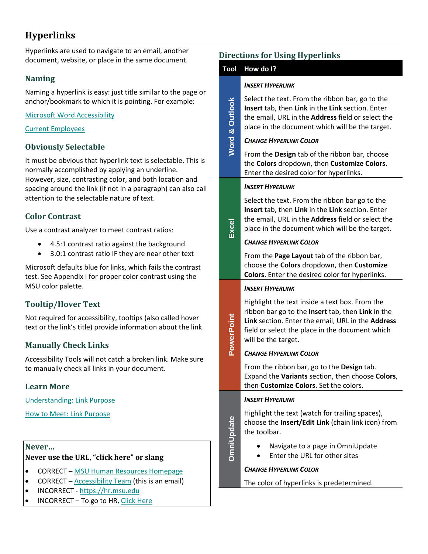# <span id="page-7-0"></span>**Hyperlinks**

Hyperlinks are used to navigate to an email, another document, website, or place in the same document.

## **Naming**

Naming a hyperlink is easy: just title similar to the page or anchor/bookmark to which it is pointing. For example:

[Microsoft Word Accessibility](https://webaccess.msu.edu/Tutorials/word.html)

[Current Employees](https://hr.msu.edu/current-employees.html)

## **Obviously Selectable**

It must be obvious that hyperlink text is selectable. This is normally accomplished by applying an underline. However, size, contrasting color, and both location and spacing around the link (if not in a paragraph) can also call attention to the selectable nature of text.

## **Color Contrast**

Use a contrast analyzer to meet contrast ratios:

- 4.5:1 contrast ratio against the background
- 3.0:1 contrast ratio IF they are near other text

Microsoft defaults blue for links, which fails the contrast test. See Appendix I for proper color contrast using the MSU color palette.

## **Tooltip/Hover Text**

Not required for accessibility, tooltips (also called hover text or the link's title) provide information about the link.

## **Manually Check Links**

Accessibility Tools will not catch a broken link. Make sure to manually check all links in your document.

## **Learn More**

[Understanding: Link Purpose](http://www.w3.org/WAI/WCAG21/Understanding/link-purpose-link-only.html)

[How to Meet: Link Purpose](http://www.w3.org/WAI/WCAG21/quickref/#link-purpose-link-only)

## **Never…**

## **Never use the URL, "click here" or slang**

- CORRECT [MSU Human Resources Homepage](https://hr.msu.edu/)
- CORRECT  $\frac{\text{Accessibility Team}}{\text{Team}}$  $\frac{\text{Accessibility Team}}{\text{Team}}$  $\frac{\text{Accessibility Team}}{\text{Team}}$  (this is an email)
- INCORRECT [https://hr.msu.edu](https://hr.msu.edu/)
- INCORRECT To go to HR, [Click Here](https://hr.msu.edu/)

## **Directions for Using Hyperlinks**

#### **Tool How do I?**

#### *INSERT HYPERLINK*

Select the text. From the ribbon bar, go to the **Insert** tab, then **Link** in the **Link** section. Enter the email, URL in the **Address** field or select the place in the document which will be the target.

## *CHANGE HYPERLINK COLOR*

From the **Design** tab of the ribbon bar, choose the **Colors** dropdown, then **Customize Colors**. Enter the desired color for hyperlinks.

## *INSERT HYPERLINK*

Select the text. From the ribbon bar go to the **Insert** tab, then **Link** in the **Link** section. Enter the email, URL in the **Address** field or select the place in the document which will be the target.

## *CHANGE HYPERLINK COLOR*

From the **Page Layout** tab of the ribbon bar, choose the **Colors** dropdown, then **Customize Colors**. Enter the desired color for hyperlinks.

#### *INSERT HYPERLINK*

Highlight the text inside a text box. From the ribbon bar go to the **Insert** tab, then **Link** in the **Link** section. Enter the email, URL in the **Address** field or select the place in the document which will be the target.

## *CHANGE HYPERLINK COLOR*

From the ribbon bar, go to the **Design** tab. Expand the **Variants** section, then choose **Colors**, then **Customize Colors**. Set the colors.

## *INSERT HYPERLINK*

Highlight the text (watch for trailing spaces), choose the **Insert/Edit Link** (chain link icon) from the toolbar.

- Navigate to a page in OmniUpdate
- Enter the URL for other sites

## *CHANGE HYPERLINK COLOR*

The color of hyperlinks is predetermined.



**PowerPoint**

PowerPoint

**OmniUpdate**

**OmniUpdate** 

**Word & Outlook**

Word & Outlook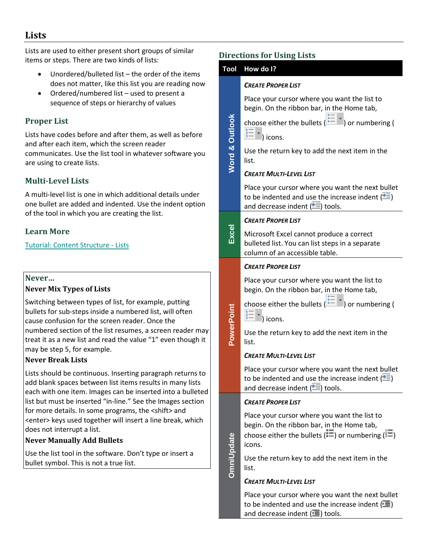## <span id="page-8-0"></span>**Lists**

Lists are used to either present short groups of similar items or steps. There are two kinds of lists:

- Unordered/bulleted list the order of the items does not matter, like this list you are reading now
- Ordered/numbered list used to present a sequence of steps or hierarchy of values

## **Proper List**

Lists have codes before and after them, as well as before and after each item, which the screen reader communicates. Use the list tool in whatever software you are using to create lists.

## **Multi-Level Lists**

A multi-level list is one in which additional details under one bullet are added and indented. Use the indent option of the tool in which you are creating the list.

## **Learn More**

#### [Tutorial: Content Structure -](http://www.w3.org/WAI/tutorials/page-structure/content/#lists) Lists

#### **Never…**

#### **Never Mix Types of Lists**

Switching between types of list, for example, putting bullets for sub-steps inside a numbered list, will often cause confusion for the screen reader. Once the numbered section of the list resumes, a screen reader may treat it as a new list and read the value "1" even though it may be step 5, for example.

#### **Never Break Lists**

Lists should be continuous. Inserting paragraph returns to add blank spaces between list items results in many lists each with one item. Images can be inserted into a bulleted list but must be inserted "in-line." See the Images section for more details. In some programs, the <shift> and <enter> keys used together will insert a line break, which does not interrupt a list.

## **Never Manually Add Bullets**

Use the list tool in the software. Don't type or insert a bullet symbol. This is not a true list.

## **Directions for Using Lists**

#### **Tool How do I?**

#### *CREATE PROPER LIST*

Place your cursor where you want the list to begin. On the ribbon bar, in the Home tab,

**Word & Outlook**

Word & Outlook

**Excel**

**PowerPoint**

PowerPoint

choose either the bullets ( $\frac{1}{1-\alpha}$ ) or numbering ( ) icons.

Use the return key to add the next item in the list.

#### *CREATE MULTI-LEVEL LIST*

Place your cursor where you want the next bullet to be indented and use the increase indent  $(2\equiv)$ and decrease indent  $(\equiv)$  tools.

#### *CREATE PROPER LIST*

Microsoft Excel cannot produce a correct bulleted list. You can list steps in a separate column of an accessible table.

#### *CREATE PROPER LIST*

Place your cursor where you want the list to begin. On the ribbon bar, in the Home tab,

choose either the bullets  $\left( \frac{1}{1 - x} \right)$  or numbering (  $\overline{\phantom{a}}$ ) icons.

Use the return key to add the next item in the list.

#### *CREATE MULTI-LEVEL LIST*

Place your cursor where you want the next bullet to be indented and use the increase indent  $(2\equiv)$ and decrease indent  $($ 

#### *CREATE PROPER LIST*

Place your cursor where you want the list to begin. On the ribbon bar, in the Home tab, choose either the bullets ( $\equiv$ ) or numbering ( $\equiv$ ) icons.

Use the return key to add the next item in the list.

## *CREATE MULTI-LEVEL LIST*

Place your cursor where you want the next bullet to be indented and use the increase indent  $($ and decrease indent  $(\equiv )$  tools.

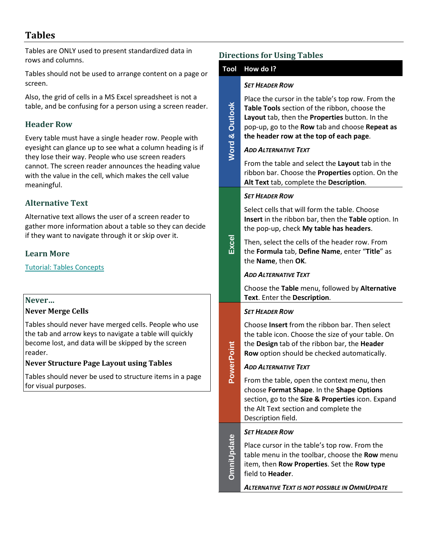## <span id="page-9-0"></span>**Tables**

Tables are ONLY used to present standardized data in rows and columns.

Tables should not be used to arrange content on a page or screen.

Also, the grid of cells in a MS Excel spreadsheet is not a table, and be confusing for a person using a screen reader.

## **Header Row**

Every table must have a single header row. People with eyesight can glance up to see what a column heading is if they lose their way. People who use screen readers cannot. The screen reader announces the heading value with the value in the cell, which makes the cell value meaningful.

## **Alternative Text**

Alternative text allows the user of a screen reader to gather more information about a table so they can decide if they want to navigate through it or skip over it.

## **Learn More**

[Tutorial: Tables Concepts](http://www.w3.org/WAI/tutorials/tables/)

## **Never…**

## **Never Merge Cells**

Tables should never have merged cells. People who use the tab and arrow keys to navigate a table will quickly become lost, and data will be skipped by the screen reader.

## **Never Structure Page Layout using Tables**

Tables should never be used to structure items in a page for visual purposes.

## **Directions for Using Tables**

#### **Tool How do I?**

**Word & Outlook**

Word & Outlook

**Excel**

**PowerPoint**

PowerPoint

**OmniUpdate**

**OmniUpdate** 

#### *SET HEADER ROW*

| Place the cursor in the table's top row. From the |
|---------------------------------------------------|
| Table Tools section of the ribbon, choose the     |
| Layout tab, then the Properties button. In the    |
| pop-up, go to the Row tab and choose Repeat as    |
| the header row at the top of each page.           |
|                                                   |

#### *ADD ALTERNATIVE TEXT*

From the table and select the **Layout** tab in the ribbon bar. Choose the **Properties** option. On the **Alt Text** tab, complete the **Description**.

#### *SET HEADER ROW*

Select cells that will form the table. Choose **Insert** in the ribbon bar, then the **Table** option. In the pop-up, check **My table has headers**.

Then, select the cells of the header row. From the **Formula** tab, **Define Name**, enter "**Title**" as the **Name**, then **OK**.

#### *ADD ALTERNATIVE TEXT*

Choose the **Table** menu, followed by **Alternative Text**. Enter the **Description**.

#### *SET HEADER ROW*

Choose **Insert** from the ribbon bar. Then select the table icon. Choose the size of your table. On the **Design** tab of the ribbon bar, the **Header Row** option should be checked automatically.

## *ADD ALTERNATIVE TEXT*

From the table, open the context menu, then choose **Format Shape**. In the **Shape Options** section, go to the **Size & Properties** icon. Expand the Alt Text section and complete the Description field.

#### *SET HEADER ROW*

Place cursor in the table's top row. From the table menu in the toolbar, choose the **Row** menu item, then **Row Properties**. Set the **Row type** field to **Header**.

*ALTERNATIVE TEXT IS NOT POSSIBLE IN OMNIUPDATE*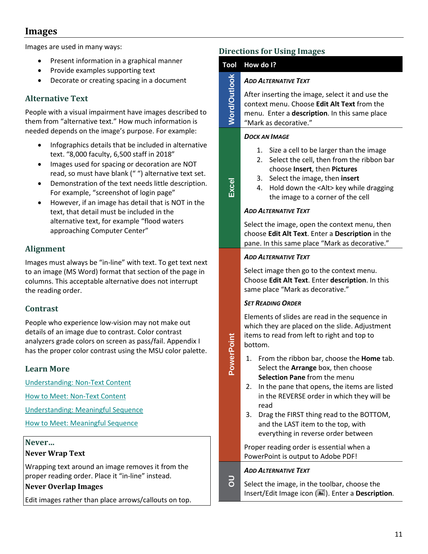## <span id="page-10-0"></span>**Images**

Images are used in many ways:

- Present information in a graphical manner
- Provide examples supporting text
- Decorate or creating spacing in a document

## **Alternative Text**

People with a visual impairment have images described to them from "alternative text." How much information is needed depends on the image's purpose. For example:

- Infographics details that be included in alternative text. "8,000 faculty, 6,500 staff in 2018"
- Images used for spacing or decoration are NOT read, so must have blank (" ") alternative text set.
- Demonstration of the text needs little description. For example, "screenshot of login page"
- However, if an image has detail that is NOT in the text, that detail must be included in the alternative text, for example "flood waters approaching Computer Center"

## **Alignment**

Images must always be "in-line" with text. To get text next to an image (MS Word) format that section of the page in columns. This acceptable alternative does not interrupt the reading order.

## **Contrast**

People who experience low-vision may not make out details of an image due to contrast. Color contrast analyzers grade colors on screen as pass/fail. Appendix I has the proper color contrast using the MSU color palette.

## **Learn More**

[Understanding: Non-Text Content](http://www.w3.org/WAI/WCAG21/Understanding/non-text-content.html)

[How to Meet: Non-Text Content](http://www.w3.org/WAI/WCAG21/quickref/#non-text-content)

[Understanding: Meaningful Sequence](http://www.w3.org/WAI/WCAG21/Understanding/meaningful-sequence.html)

[How to Meet: Meaningful Sequence](http://www.w3.org/WAI/WCAG21/quickref/#meaningful-sequence)

#### **Never…**

## **Never Wrap Text**

Wrapping text around an image removes it from the proper reading order. Place it "in-line" instead.

## **Never Overlap Images**

Edit images rather than place arrows/callouts on top.

## **Directions for Using Images**

## **Tool How do I?**

## *ADD ALTERNATIVE TEXT*

After inserting the image, select it and use the context menu. Choose **Edit Alt Text** from the menu. Enter a **description**. In this same place "Mark as decorative."

#### *DOCK AN IMAGE*

- 1. Size a cell to be larger than the image
- 2. Select the cell, then from the ribbon bar choose **Insert**, then **Pictures**
- 3. Select the image, then **insert**
- 4. Hold down the <Alt> key while dragging the image to a corner of the cell

#### *ADD ALTERNATIVE TEXT*

Select the image, open the context menu, then choose **Edit Alt Text**. Enter a **Description** in the pane. In this same place "Mark as decorative."

#### *ADD ALTERNATIVE TEXT*

Select image then go to the context menu. Choose **Edit Alt Text**. Enter **description**. In this same place "Mark as decorative."

## *SET READING ORDER*

Elements of slides are read in the sequence in which they are placed on the slide. Adjustment items to read from left to right and top to bottom.

- 1. From the ribbon bar, choose the **Home** tab. Select the **Arrange** box, then choose **Selection Pane** from the menu
- 2. In the pane that opens, the items are listed in the REVERSE order in which they will be read
- 3. Drag the FIRST thing read to the BOTTOM, and the LAST item to the top, with everything in reverse order between

Proper reading order is essential when a PowerPoint is output to Adobe PDF!

## *ADD ALTERNATIVE TEXT*

**OU** Select the image, in the toolbar, choose the Insert/Edit Image icon (**A)**. Enter a **Description**.

**Excel**

**PowerPoint**

PowerPoint

**Word/Outlook**

**Word/Outlook**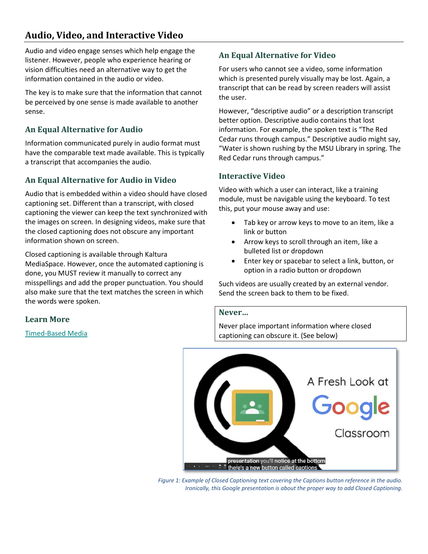# <span id="page-11-0"></span>**Audio, Video, and Interactive Video**

Audio and video engage senses which help engage the listener. However, people who experience hearing or vision difficulties need an alternative way to get the information contained in the audio or video.

The key is to make sure that the information that cannot be perceived by one sense is made available to another sense.

## **An Equal Alternative for Audio**

Information communicated purely in audio format must have the comparable text made available. This is typically a transcript that accompanies the audio.

## **An Equal Alternative for Audio in Video**

Audio that is embedded within a video should have closed captioning set. Different than a transcript, with closed captioning the viewer can keep the text synchronized with the images on screen. In designing videos, make sure that the closed captioning does not obscure any important information shown on screen.

Closed captioning is available through Kaltura MediaSpace. However, once the automated captioning is done, you MUST review it manually to correct any misspellings and add the proper punctuation. You should also make sure that the text matches the screen in which the words were spoken.

## **Learn More**

[Timed-Based Media](http://www.w3.org/TR/WCAG21/#time-based-media)

## **An Equal Alternative for Video**

For users who cannot see a video, some information which is presented purely visually may be lost. Again, a transcript that can be read by screen readers will assist the user.

However, "descriptive audio" or a description transcript better option. Descriptive audio contains that lost information. For example, the spoken text is "The Red Cedar runs through campus." Descriptive audio might say, "Water is shown rushing by the MSU Library in spring. The Red Cedar runs through campus."

## **Interactive Video**

Video with which a user can interact, like a training module, must be navigable using the keyboard. To test this, put your mouse away and use:

- Tab key or arrow keys to move to an item, like a link or button
- Arrow keys to scroll through an item, like a bulleted list or dropdown
- Enter key or spacebar to select a link, button, or option in a radio button or dropdown

Such videos are usually created by an external vendor. Send the screen back to them to be fixed.

#### **Never…**

Never place important information where closed captioning can obscure it. (See below)



*Figure 1: Example of Closed Captioning text covering the Captions button reference in the audio. Ironically, this Google presentation is about the proper way to add Closed Captioning.*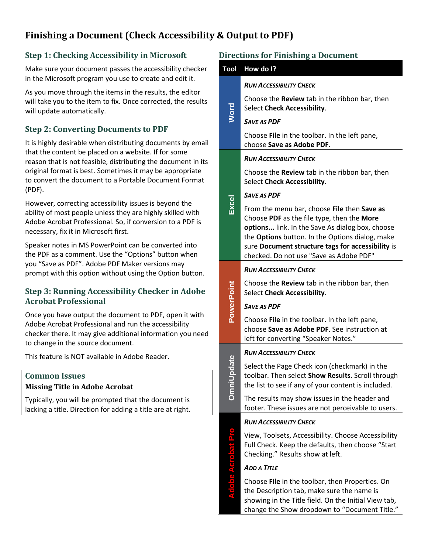## <span id="page-12-0"></span>**Step 1: Checking Accessibility in Microsoft**

Make sure your document passes the accessibility checker in the Microsoft program you use to create and edit it.

As you move through the items in the results, the editor will take you to the item to fix. Once corrected, the results will update automatically.

## **Step 2: Converting Documents to PDF**

It is highly desirable when distributing documents by email that the content be placed on a website. If for some reason that is not feasible, distributing the document in its original format is best. Sometimes it may be appropriate to convert the document to a Portable Document Format (PDF).

However, correcting accessibility issues is beyond the ability of most people unless they are highly skilled with Adobe Acrobat Professional. So, if conversion to a PDF is necessary, fix it in Microsoft first.

Speaker notes in MS PowerPoint can be converted into the PDF as a comment. Use the "Options" button when you "Save as PDF". Adobe PDF Maker versions may prompt with this option without using the Option button.

## **Step 3: Running Accessibility Checker in Adobe Acrobat Professional**

Once you have output the document to PDF, open it with Adobe Acrobat Professional and run the accessibility checker there. It may give additional information you need to change in the source document.

This feature is NOT available in Adobe Reader.

## **Common Issues Missing Title in Adobe Acrobat**

Typically, you will be prompted that the document is lacking a title. Direction for adding a title are at right.

## **Directions for Finishing a Document**

#### **Tool How do I?**

#### *RUN ACCESSIBILITY CHECK*

| Word | Choose the <b>Review</b> tab in the ribbon bar, then |  |  |  |  |  |  |
|------|------------------------------------------------------|--|--|--|--|--|--|
|      | Select Check Accessibility.                          |  |  |  |  |  |  |
|      | <b>SAVE AS PDF</b>                                   |  |  |  |  |  |  |

Choose **File** in the toolbar. In the left pane, choose **Save as Adobe PDF**.

#### *RUN ACCESSIBILITY CHECK*

Choose the **Review** tab in the ribbon bar, then Select **Check Accessibility**.

## *SAVE AS PDF*

**Excel**

**PowerPoint**

PowerPoint

**OmniUpdate**

**OmniUpdate** 

**Adobe Acrobat Pro**

From the menu bar, choose **File** then **Save as** Choose **PDF** as the file type, then the **More options...** link. In the Save As dialog box, choose the **Options** button. In the Options dialog, make sure **Document structure tags for accessibility** is checked. Do not use "Save as Adobe PDF"

#### *RUN ACCESSIBILITY CHECK*

Choose the **Review** tab in the ribbon bar, then Select **Check Accessibility**.

## *SAVE AS PDF*

Choose **File** in the toolbar. In the left pane, choose **Save as Adobe PDF**. See instruction at left for converting "Speaker Notes."

## *RUN ACCESSIBILITY CHECK*

Select the Page Check icon (checkmark) in the toolbar. Then select **Show Results**. Scroll through the list to see if any of your content is included.

The results may show issues in the header and footer. These issues are not perceivable to users.

## *RUN ACCESSIBILITY CHECK*

View, Toolsets, Accessibility. Choose Accessibility Full Check. Keep the defaults, then choose "Start Checking." Results show at left.

## *ADD A TITLE*

Choose **File** in the toolbar, then Properties. On the Description tab, make sure the name is showing in the Title field. On the Initial View tab, change the Show dropdown to "Document Title."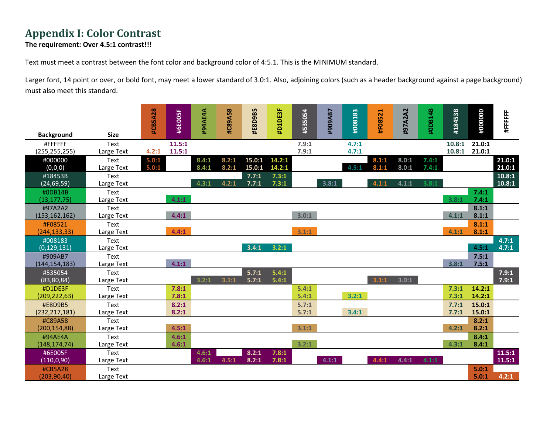# **Appendix I: Color Contrast**

## **The requirement: Over 4.5:1 contrast!!!**

Text must meet a contrast between the font color and background color of 4:5.1. This is the MINIMUM standard.

Larger font, 14 point or over, or bold font, may meet a lower standard of 3.0:1. Also, adjoining colors (such as a header background against a page background) must also meet this standard.

<span id="page-13-0"></span>

|                            |                    | <b>#CB5A28</b> | <b>#6E005F</b>   | <b>AP34AE4A</b> | #C89A58        | #E8D9B5          | #D1DE3F          | #535054        | <b>TBA606#</b> | #008183        | <b>#F08521</b> | <b>197A2A2</b> | #0DB14B        | #18453B          | #000000          | <b>#FFFFFF</b>   |
|----------------------------|--------------------|----------------|------------------|-----------------|----------------|------------------|------------------|----------------|----------------|----------------|----------------|----------------|----------------|------------------|------------------|------------------|
| <b>Background</b>          | <b>Size</b>        |                |                  |                 |                |                  |                  |                |                |                |                |                |                |                  |                  |                  |
| #FFFFFF<br>(255, 255, 255) | Text<br>Large Text | 4.2:1          | 11.5:1<br>11.5:1 |                 |                |                  |                  | 7.9:1<br>7.9:1 |                | 4.7:1<br>4.7:1 |                |                |                | 10.8:1<br>10.8:1 | 21.0:1<br>21.0:1 |                  |
| #000000<br>(0,0,0)         | Text<br>Large Text | 5.0:1<br>5.0:1 |                  | 8.4:1<br>8.4:1  | 8.2:1<br>8.2:1 | 15.0:1<br>15.0:1 | 14.2:1<br>14.2:1 |                |                | 4.5:1          | 8.1:1<br>8.1:1 | 8.0:1<br>8.0:1 | 7.4:1<br>7.4:1 |                  |                  | 21.0:1<br>21.0:1 |
| #18453B<br>(24, 69, 59)    | Text<br>Large Text |                |                  | 4.3:1           | 4.2:1          | 7.7:1<br>7.7:1   | 7.3:1<br>7.3:1   |                | 3.8:1          |                | 4.1:1          | 4.1:1          | 3.8:1          |                  |                  | 10.8:1<br>10.8:1 |
| #0DB14B<br>(13, 177, 75)   | Text<br>Large Text |                | 4.1:1            |                 |                |                  |                  |                |                |                |                |                |                | 3.8:1            | 7.4:1<br>7.4:1   |                  |
| #97A2A2<br>(153, 162, 162) | Text<br>Large Text |                | 4.4:1            |                 |                |                  |                  | 3.0:1          |                |                |                |                |                | 4.1:1            | 8.1:1<br>8.1:1   |                  |
| #F08521<br>(244, 133, 33)  | Text<br>Large Text |                | 4.4:1            |                 |                |                  |                  | 3.1:1          |                |                |                |                |                | 4.1:1            | 8.1:1<br>8.1:1   |                  |
| #008183<br>(0, 129, 131)   | Text<br>Large Text |                |                  |                 |                | 3.4:1            | 3.2:1            |                |                |                |                |                |                |                  | 4.5:1            | 4.7:1<br>4.7:1   |
| #909AB7<br>(144, 154, 183) | Text<br>Large Text |                | 4.1:1            |                 |                |                  |                  |                |                |                |                |                |                | 3.8:1            | 7.5:1<br>7.5:1   |                  |
| #535054<br>(83, 80, 84)    | Text<br>Large Text |                |                  | 3.2:1           | 3.1:1          | 5.7:1<br>5.7:1   | 5.4:1<br>5.4:1   |                |                |                | 3.1:1          | 3.0:1          |                |                  |                  | 7.9:1<br>7.9:1   |
| #D1DE3F<br>(209, 222, 63)  | Text<br>Large Text |                | 7.8:1<br>7.8:1   |                 |                |                  |                  | 5.4:1<br>5.4:1 |                | 3.2:1          |                |                |                | 7.3:1<br>7.3:1   | 14.2:1<br>14.2:1 |                  |
| #E8D9B5<br>(232, 217, 181) | Text<br>Large Text |                | 8.2:1<br>8.2:1   |                 |                |                  |                  | 5.7:1<br>5.7:1 |                | 3.4:1          |                |                |                | 7.7:1<br>7.7:1   | 15.0:1<br>15.0:1 |                  |
| #C89A58<br>(200, 154, 88)  | Text<br>Large Text |                | 4.5:1            |                 |                |                  |                  | 3.1:1          |                |                |                |                |                | 4.2:1            | 8.2:1<br>8.2:1   |                  |
| #94AE4A<br>(148, 174, 74)  | Text<br>Large Text |                | 4.6:1<br>4.6:1   |                 |                |                  |                  | 3.2:1          |                |                |                |                |                | 4.3:1            | 8.4:1<br>8.4:1   |                  |
| #6E005F<br>(110, 0, 90)    | Text<br>Large Text |                |                  | 4.6:1<br>4.6:1  | 4.5:1          | 8.2:1<br>8.2:1   | 7.8:1<br>7.8:1   |                | 4.1:1          |                | 4.4:1          | 4.4:1          | 4.1:1          |                  |                  | 11.5:1<br>11.5:1 |
| #CB5A28<br>(203, 90, 40)   | Text<br>Large Text |                |                  |                 |                |                  |                  |                |                |                |                |                |                |                  | 5.0:1<br>5.0:1   | 4.2:1            |